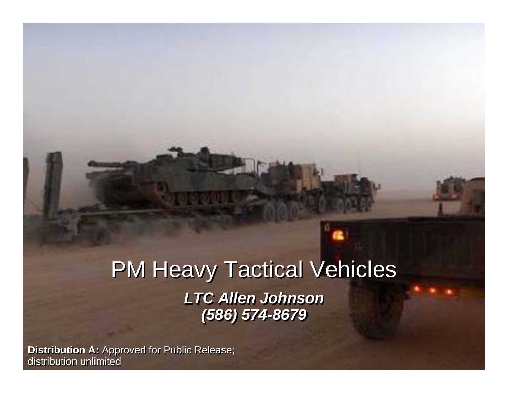## *3 Jan 08 3 Jan 08* **PM Heavy Tactical Vehicles** *LTC Allen Johnson LTC Allen Johnson (586) 574-8679 (586) 574-8679*

**Distribution A:** Approved for Public Release; **National A: Approved for Public Release**; distribution unlimited distribution unlimited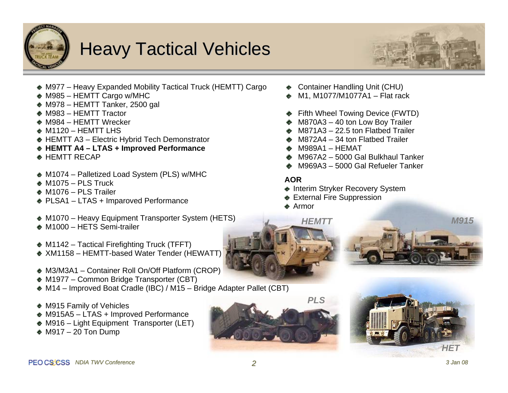

## **Heavy Tactical Vehicles**



- M977 Heavy Expanded Mobility Tactical Truck (HEMTT) Cargo
- ◆ M985 HEMTT Cargo w/MHC
- $\triangle$  M978 HEMTT Tanker, 2500 gal
- ◆ M983 HEMTT Tractor
- ◆ M984 HFMTT Wrecker
- $\bullet$  M1120 HEMTT LHS
- ◆ HEMTT A3 Electric Hybrid Tech Demonstrator
- ◆ HEMTT A4 LTAS + Improved Performance
- $\bullet$  HEMTT RECAP
- ◆ M1074 Palletized Load System (PLS) w/MHC
- $\bullet$  M1075 PLS Truck
- $\bullet$  M1076 PLS Trailer
- ◆ PLSA1 LTAS + Imparoved Performance
- ◆ M1070 Heavy Equipment Transporter System (HETS)
- ◆ M1000 HFTS Semi-trailer
- $\triangleleft$  M1142 Tactical Firefighting Truck (TFFT)
- ◆ XM1158 HEMTT-based Water Tender (HEWATT)
- ◆ M3/M3A1 Container Roll On/Off Platform (CROP)
- ◆ M1977 Common Bridge Transporter (CBT)
- ◆ M14 Improved Boat Cradle (IBC) / M15 Bridge Adapter Pallet (CBT)
- ◆ M915 Family of Vehicles
- ◆ M915A5 LTAS + Improved Performance
- ◆ M916 Light Equipment Transporter (LET)
- $\triangle$  M917 20 Ton Dump
- Container Handling Unit (CHU)
- M1, M1077/M1077A1 Flat rack
- ◆ Fifth Wheel Towing Device (FWTD)
- $\triangle$  M870A3 40 ton Low Boy Trailer
- $\triangle$  M871A3 22.5 ton Flatbed Trailer
- $\triangle$  M872A4 34 ton Flathed Trailer
- $\bullet$  M989A1 HEMAT
- ◆ M967A2 5000 Gal Bulkhaul Tanker
- ◆ M969A3 5000 Gal Refueler Tanker

#### **AOR**

- ◆ Interim Stryker Recovery System
- ◆ External Fire Suppression
- **Armor**

*HEMTT*

*M915*





*HET*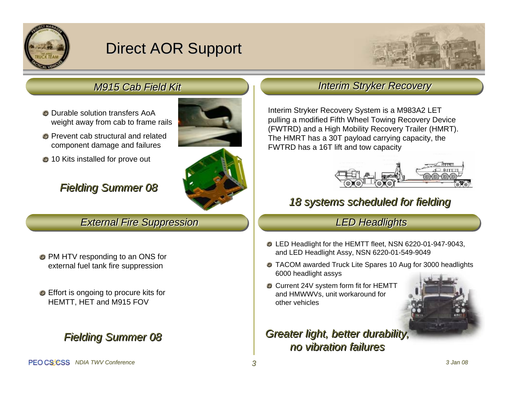

## Direct AOR Support



### *M915 Cab Field Kit M915 Cab Field Kit*

- Durable solution transfers AoA weight away from cab to frame rails
- **C** Prevent cab structural and related component damage and failures
- **210 Kits installed for prove out**

### *Fielding Summer 08 Fielding Summer 08*

*External Fire Suppression External Fire Suppression*

- PM HTV responding to an ONS for external fuel tank fire suppression
- Effort is ongoing to procure kits for HEMTT, HET and M915 FOV

### *no vibration failures Fielding Summer 08 Fielding Summer 08*



# *LED Headlights LED Headlights*

- LED Headlight for the HEMTT fleet, NSN 6220-01-947-9043, and LED Headlight Assy, NSN 6220-01-549-9049
- TACOM awarded Truck Lite Spares 10 Aug for 3000 headlights 6000 headlight assys

*18 systems scheduled for fielding 18 systems scheduled for fielding* 

*Interim Stryker Recovery Interim Stryker Recovery*

Interim Stryker Recovery System is a M983A2 LET pulling a modified Fifth Wheel Towing Recovery Device (FWTRD) and a High Mobility Recovery Trailer (HMRT). The HMRT has a 30T payload carrying capacity, the

FWTRD has a 16T lift and tow capacity

Current 24V system form fit for HEMTT and HMWWVs, unit workaround for other vehicles



### *Greater light, better durability, Greater light, better durability, no vibration failures*

PEO CS'CSS NDIA TWV Conference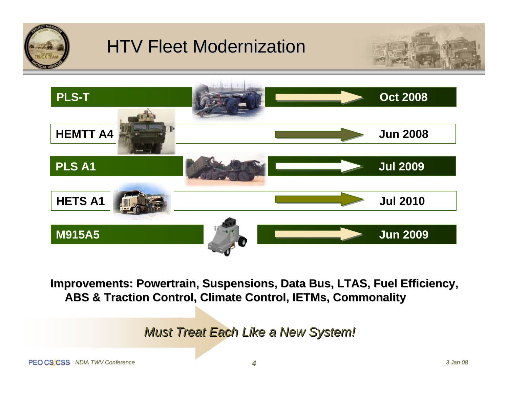

# **HTV Fleet Modernization**





**Improvements: Powertrain, Suspensions, Data Bus, LTAS, Fuel Efficiency, ABS & Traction Control, Climate Control, IETMs, Commonality ABS & Traction Control, Climate Control, IETMs, Commonality**

*Must Treat Each Like a New System! Must Treat Each Like a New System!*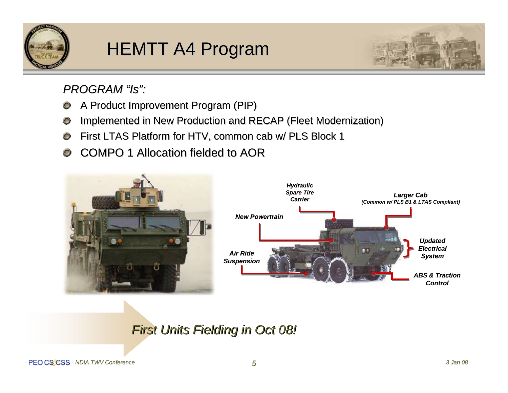



*PROGRAM "Is": PROGRAM "Is":*

- A Product Improvement Program (PIP) A Product Improvement Program (PIP)  $\circ$
- Implemented in New Production and RECAP (Fleet Modernization)  $\circ$
- First LTAS Platform for HTV, common cab w/ PLS Block 1  $\circ$
- COMPO 1 Allocation fielded to AOR  $\mathbf{O}$



### **First Units Fielding in Oct 08!**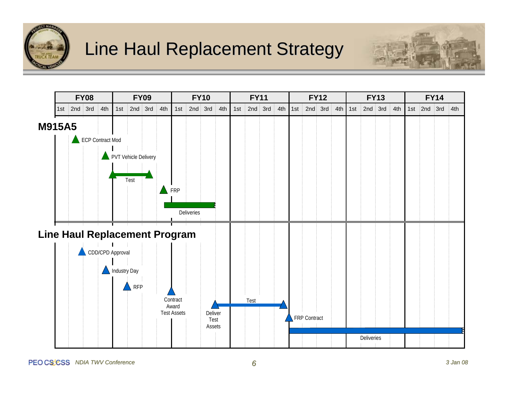

## Line Haul Replacement Strategy



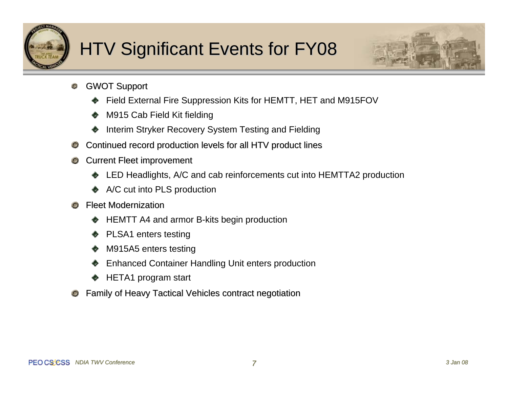

# HTV Significant Events for FY08



- $\mathbf C$ **GWOT Support** 
	- Field External Fire Suppression Kits for HEMTT, HET and M915FOV
	- M915 Cab Field Kit fielding
	- Interim Stryker Recovery System Testing and Fielding
- Continued record production levels for all HTV product lines  $\mathbf{\circ}$
- **Current Fleet improvement**  $\mathbf{\circ}$ 
	- LED Headlights, A/C and cab reinforcements cut into HEMTTA2 production
	- ◆ A/C cut into PLS production
- Fleet Modernization
	- HEMTT A4 and armor B-kits begin production
	- PLSA1 enters testing
	- M915A5 enters testing
	- Enhanced Container Handling Unit enters production
	- HETA1 program start
- Family of Heavy Tactical Vehicles contract negotiation  $\mathbf{C}$